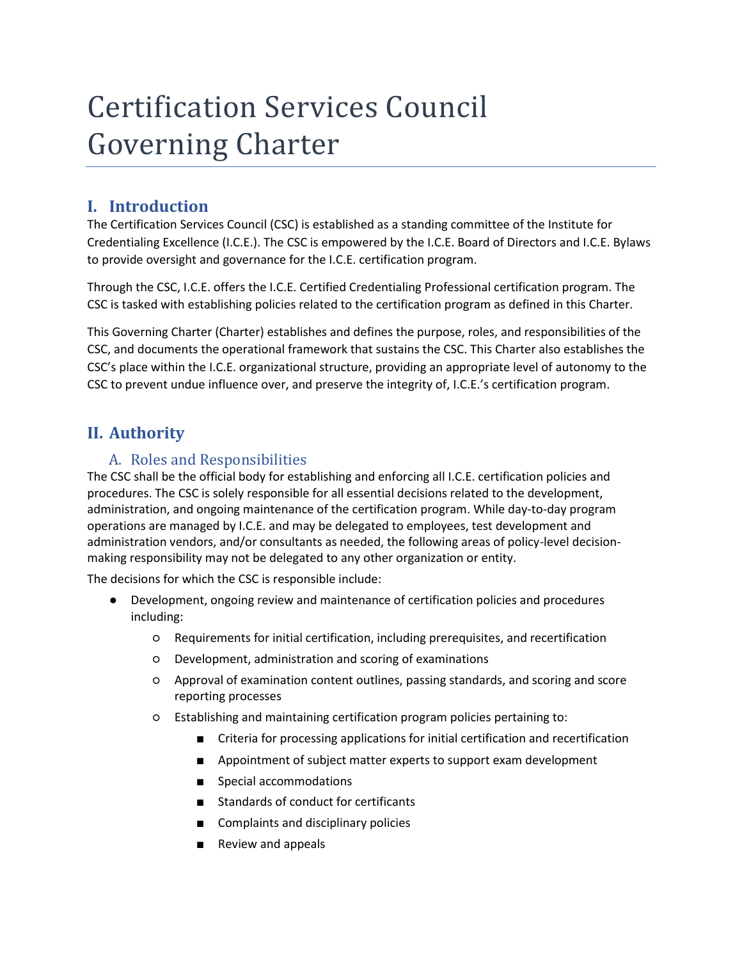# Certification Services Council Governing Charter

# **I. Introduction**

The Certification Services Council (CSC) is established as a standing committee of the Institute for Credentialing Excellence (I.C.E.). The CSC is empowered by the I.C.E. Board of Directors and I.C.E. Bylaws to provide oversight and governance for the I.C.E. certification program.

Through the CSC, I.C.E. offers the I.C.E. Certified Credentialing Professional certification program. The CSC is tasked with establishing policies related to the certification program as defined in this Charter.

This Governing Charter (Charter) establishes and defines the purpose, roles, and responsibilities of the CSC, and documents the operational framework that sustains the CSC. This Charter also establishes the CSC's place within the I.C.E. organizational structure, providing an appropriate level of autonomy to the CSC to prevent undue influence over, and preserve the integrity of, I.C.E.'s certification program.

# **II. Authority**

## A. Roles and Responsibilities

The CSC shall be the official body for establishing and enforcing all I.C.E. certification policies and procedures. The CSC is solely responsible for all essential decisions related to the development, administration, and ongoing maintenance of the certification program. While day-to-day program operations are managed by I.C.E. and may be delegated to employees, test development and administration vendors, and/or consultants as needed, the following areas of policy-level decisionmaking responsibility may not be delegated to any other organization or entity.

The decisions for which the CSC is responsible include:

- Development, ongoing review and maintenance of certification policies and procedures including:
	- Requirements for initial certification, including prerequisites, and recertification
	- Development, administration and scoring of examinations
	- Approval of examination content outlines, passing standards, and scoring and score reporting processes
	- Establishing and maintaining certification program policies pertaining to:
		- Criteria for processing applications for initial certification and recertification
		- Appointment of subject matter experts to support exam development
		- Special accommodations
		- Standards of conduct for certificants
		- Complaints and disciplinary policies
		- Review and appeals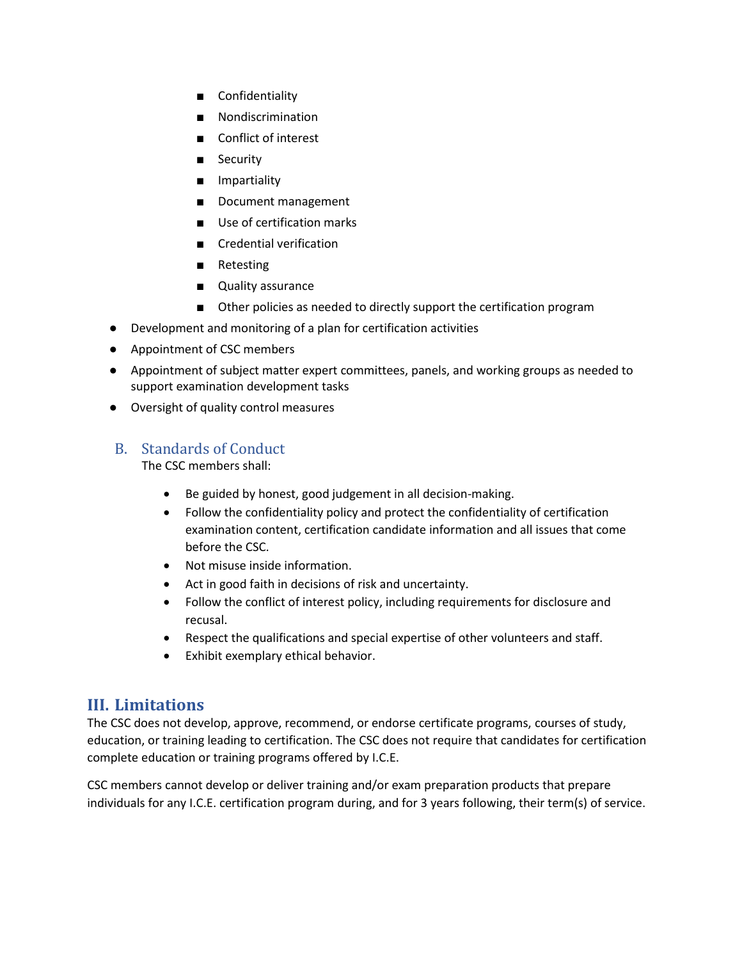- Confidentiality
- Nondiscrimination
- Conflict of interest
- Security
- Impartiality
- Document management
- Use of certification marks
- Credential verification
- Retesting
- Quality assurance
- Other policies as needed to directly support the certification program
- Development and monitoring of a plan for certification activities
- Appointment of CSC members
- Appointment of subject matter expert committees, panels, and working groups as needed to support examination development tasks
- Oversight of quality control measures

## B. Standards of Conduct

The CSC members shall:

- Be guided by honest, good judgement in all decision-making.
- Follow the confidentiality policy and protect the confidentiality of certification examination content, certification candidate information and all issues that come before the CSC.
- Not misuse inside information.
- Act in good faith in decisions of risk and uncertainty.
- Follow the conflict of interest policy, including requirements for disclosure and recusal.
- Respect the qualifications and special expertise of other volunteers and staff.
- Exhibit exemplary ethical behavior.

## **III. Limitations**

The CSC does not develop, approve, recommend, or endorse certificate programs, courses of study, education, or training leading to certification. The CSC does not require that candidates for certification complete education or training programs offered by I.C.E.

CSC members cannot develop or deliver training and/or exam preparation products that prepare individuals for any I.C.E. certification program during, and for 3 years following, their term(s) of service.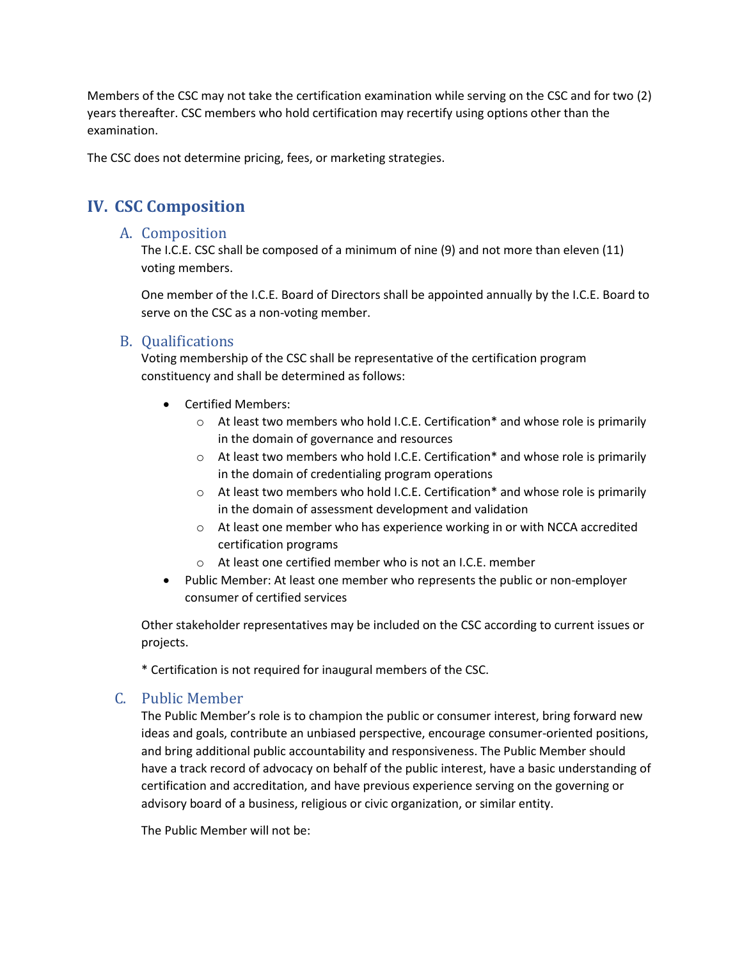Members of the CSC may not take the certification examination while serving on the CSC and for two (2) years thereafter. CSC members who hold certification may recertify using options other than the examination.

The CSC does not determine pricing, fees, or marketing strategies.

# **IV. CSC Composition**

#### A. Composition

The I.C.E. CSC shall be composed of a minimum of nine (9) and not more than eleven (11) voting members.

One member of the I.C.E. Board of Directors shall be appointed annually by the I.C.E. Board to serve on the CSC as a non-voting member.

#### B. Qualifications

Voting membership of the CSC shall be representative of the certification program constituency and shall be determined as follows:

- Certified Members:
	- o At least two members who hold I.C.E. Certification\* and whose role is primarily in the domain of governance and resources
	- o At least two members who hold I.C.E. Certification\* and whose role is primarily in the domain of credentialing program operations
	- o At least two members who hold I.C.E. Certification\* and whose role is primarily in the domain of assessment development and validation
	- o At least one member who has experience working in or with NCCA accredited certification programs
	- o At least one certified member who is not an I.C.E. member
- Public Member: At least one member who represents the public or non-employer consumer of certified services

Other stakeholder representatives may be included on the CSC according to current issues or projects.

\* Certification is not required for inaugural members of the CSC.

#### C. Public Member

The Public Member's role is to champion the public or consumer interest, bring forward new ideas and goals, contribute an unbiased perspective, encourage consumer-oriented positions, and bring additional public accountability and responsiveness. The Public Member should have a track record of advocacy on behalf of the public interest, have a basic understanding of certification and accreditation, and have previous experience serving on the governing or advisory board of a business, religious or civic organization, or similar entity.

The Public Member will not be: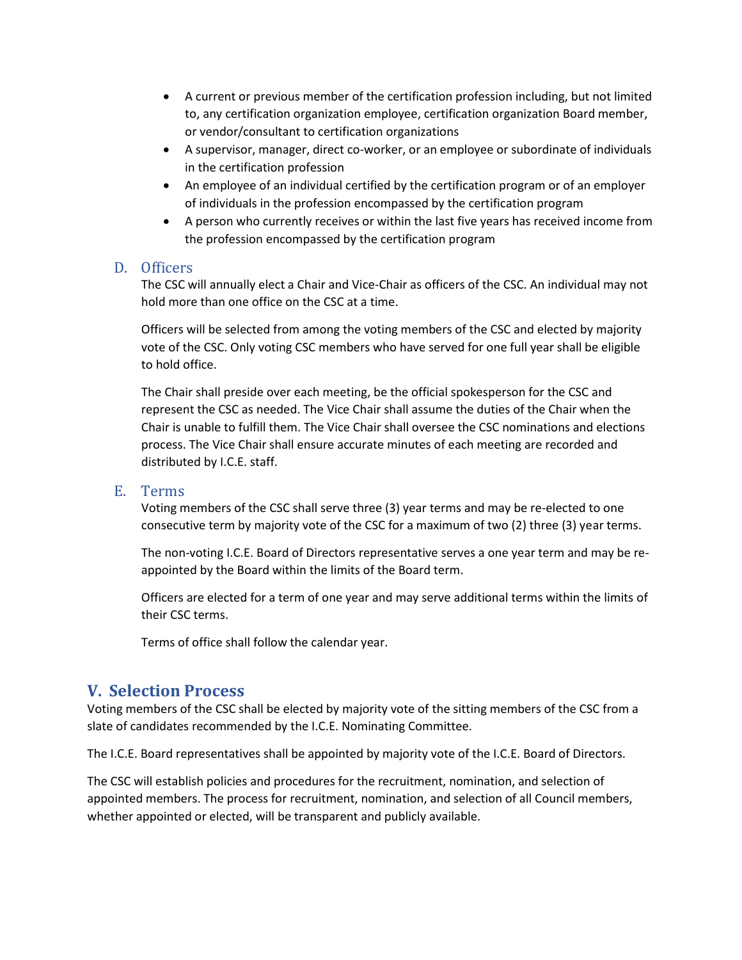- A current or previous member of the certification profession including, but not limited to, any certification organization employee, certification organization Board member, or vendor/consultant to certification organizations
- A supervisor, manager, direct co-worker, or an employee or subordinate of individuals in the certification profession
- An employee of an individual certified by the certification program or of an employer of individuals in the profession encompassed by the certification program
- A person who currently receives or within the last five years has received income from the profession encompassed by the certification program

#### D. Officers

The CSC will annually elect a Chair and Vice-Chair as officers of the CSC. An individual may not hold more than one office on the CSC at a time.

Officers will be selected from among the voting members of the CSC and elected by majority vote of the CSC. Only voting CSC members who have served for one full year shall be eligible to hold office.

The Chair shall preside over each meeting, be the official spokesperson for the CSC and represent the CSC as needed. The Vice Chair shall assume the duties of the Chair when the Chair is unable to fulfill them. The Vice Chair shall oversee the CSC nominations and elections process. The Vice Chair shall ensure accurate minutes of each meeting are recorded and distributed by I.C.E. staff.

#### E. Terms

Voting members of the CSC shall serve three (3) year terms and may be re-elected to one consecutive term by majority vote of the CSC for a maximum of two (2) three (3) year terms.

The non-voting I.C.E. Board of Directors representative serves a one year term and may be reappointed by the Board within the limits of the Board term.

Officers are elected for a term of one year and may serve additional terms within the limits of their CSC terms.

Terms of office shall follow the calendar year.

## **V. Selection Process**

Voting members of the CSC shall be elected by majority vote of the sitting members of the CSC from a slate of candidates recommended by the I.C.E. Nominating Committee.

The I.C.E. Board representatives shall be appointed by majority vote of the I.C.E. Board of Directors.

The CSC will establish policies and procedures for the recruitment, nomination, and selection of appointed members. The process for recruitment, nomination, and selection of all Council members, whether appointed or elected, will be transparent and publicly available.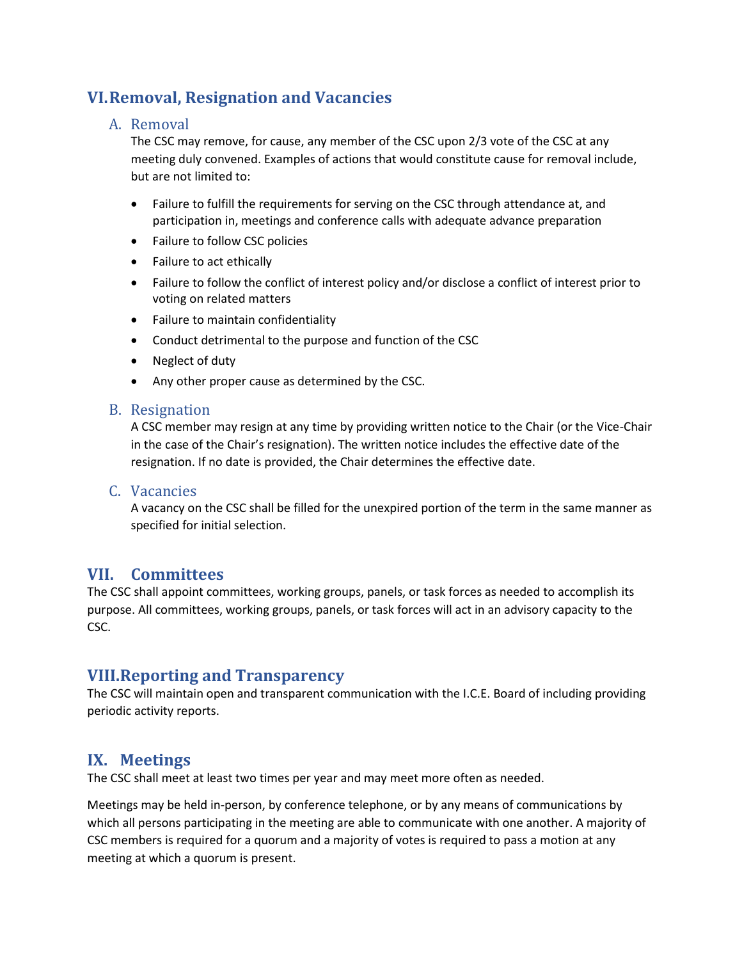# **VI.Removal, Resignation and Vacancies**

#### A. Removal

The CSC may remove, for cause, any member of the CSC upon 2/3 vote of the CSC at any meeting duly convened. Examples of actions that would constitute cause for removal include, but are not limited to:

- Failure to fulfill the requirements for serving on the CSC through attendance at, and participation in, meetings and conference calls with adequate advance preparation
- Failure to follow CSC policies
- Failure to act ethically
- Failure to follow the conflict of interest policy and/or disclose a conflict of interest prior to voting on related matters
- Failure to maintain confidentiality
- Conduct detrimental to the purpose and function of the CSC
- Neglect of duty
- Any other proper cause as determined by the CSC.

#### B. Resignation

A CSC member may resign at any time by providing written notice to the Chair (or the Vice-Chair in the case of the Chair's resignation). The written notice includes the effective date of the resignation. If no date is provided, the Chair determines the effective date.

#### C. Vacancies

A vacancy on the CSC shall be filled for the unexpired portion of the term in the same manner as specified for initial selection.

## **VII. Committees**

The CSC shall appoint committees, working groups, panels, or task forces as needed to accomplish its purpose. All committees, working groups, panels, or task forces will act in an advisory capacity to the CSC.

## **VIII.Reporting and Transparency**

The CSC will maintain open and transparent communication with the I.C.E. Board of including providing periodic activity reports.

## **IX. Meetings**

The CSC shall meet at least two times per year and may meet more often as needed.

Meetings may be held in-person, by conference telephone, or by any means of communications by which all persons participating in the meeting are able to communicate with one another. A majority of CSC members is required for a quorum and a majority of votes is required to pass a motion at any meeting at which a quorum is present.